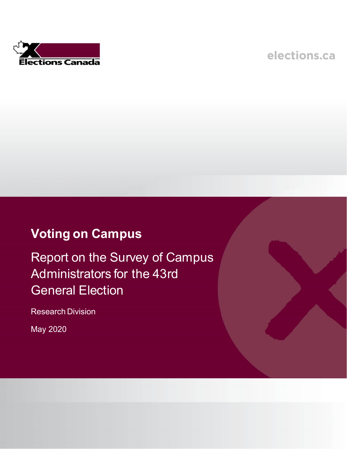ections Canada

elections.ca

# **Voting on Campus**

Report on the Survey of Campus Administrators for the 43rd General Election

Research Division

May 2020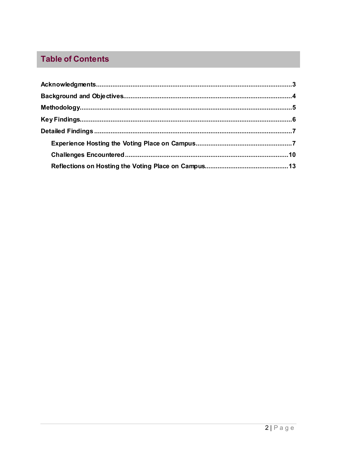## **Table of Contents**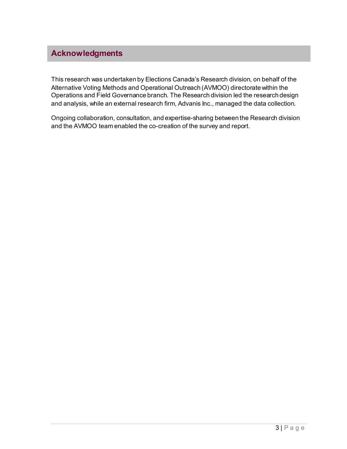### <span id="page-2-0"></span>**Acknowledgments**

This research was undertaken by Elections Canada's Research division, on behalf of the Alternative Voting Methods and Operational Outreach (AVMOO) directorate within the Operations and Field Governance branch. The Research division led the research design and analysis, while an external research firm, Advanis Inc., managed the data collection.

Ongoing collaboration, consultation, and expertise-sharing between the Research division and the AVMOO team enabled the co-creation of the survey and report.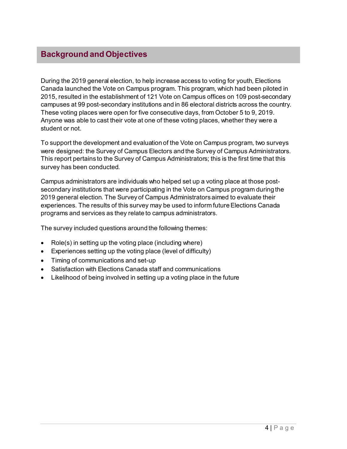### <span id="page-3-0"></span>**Background and Objectives**

During the 2019 general election, to help increase access to voting for youth, Elections Canada launched the Vote on Campus program. This program, which had been piloted in 2015, resulted in the establishment of 121 Vote on Campus offices on 109 post-secondary campuses at 99 post-secondary institutions and in 86 electoral districts across the country. These voting places were open for five consecutive days, from October 5 to 9, 2019. Anyone was able to cast their vote at one of these voting places, whether they were a student or not.

To support the development and evaluation of the Vote on Campus program, two surveys were designed: the Survey of Campus Electors and the Survey of Campus Administrators. This report pertains to the Survey of Campus Administrators; this is the first time that this survey has been conducted.

Campus administrators are individuals who helped set up a voting place at those postsecondary institutions that were participating in the Vote on Campus program during the 2019 general election. The Survey of Campus Administrators aimed to evaluate their experiences. The results of this survey may be used to inform future Elections Canada programs and services as they relate to campus administrators.

The survey included questions around the following themes:

- Role(s) in setting up the voting place (including where)
- Experiences setting up the voting place (level of difficulty)
- Timing of communications and set-up
- Satisfaction with Elections Canada staff and communications
- Likelihood of being involved in setting up a voting place in the future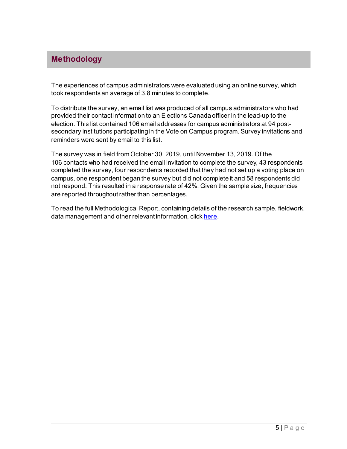### <span id="page-4-0"></span>**Methodology**

The experiences of campus administrators were evaluated using an online survey, which took respondents an average of 3.8 minutes to complete.

To distribute the survey, an email list was produced of all campus administrators who had provided their contact information to an Elections Canada officer in the lead-up to the election. This list contained 106 email addresses for campus administrators at 94 postsecondary institutions participating in the Vote on Campus program. Survey invitations and reminders were sent by email to this list.

The survey was in field from October 30, 2019, until November 13, 2019. Of the 106 contacts who had received the email invitation to complete the survey, 43 respondents completed the survey, four respondents recorded that they had not set up a voting place on campus, one respondent began the survey but did not complete it and 58 respondents did not respond. This resulted in a response rate of 42%. Given the sample size, frequencies are reported throughout rather than percentages.

To read the full Methodological Report, containing details of the research sample, fieldwork, data management and other relevant information, clic[k here](http://gcdocs.elections.ca/OTCS/llisapi.dll/properties/4938260).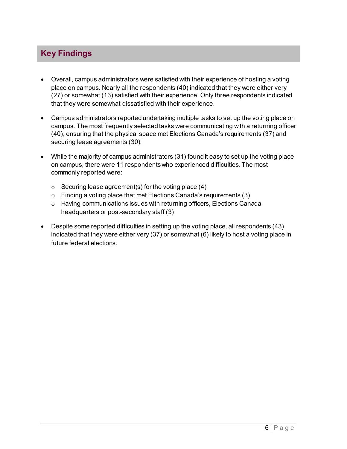### <span id="page-5-0"></span>**Key Findings**

- Overall, campus administrators were satisfied with their experience of hosting a voting place on campus. Nearly all the respondents (40) indicated that they were either very (27) or somewhat (13) satisfied with their experience. Only three respondents indicated that they were somewhat dissatisfied with their experience.
- Campus administrators reported undertaking multiple tasks to set up the voting place on campus. The most frequently selected tasks were communicating with a returning officer (40), ensuring that the physical space met Elections Canada's requirements (37) and securing lease agreements (30).
- While the majority of campus administrators (31) found it easy to set up the voting place on campus, there were 11 respondents who experienced difficulties. The most commonly reported were:
	- $\circ$  Securing lease agreement(s) for the voting place (4)
	- $\circ$  Finding a voting place that met Elections Canada's requirements (3)
	- o Having communications issues with returning officers, Elections Canada headquarters or post-secondary staff (3)
- Despite some reported difficulties in setting up the voting place, all respondents (43) indicated that they were either very (37) or somewhat (6) likely to host a voting place in future federal elections.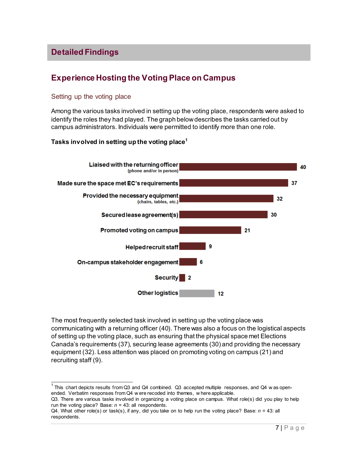### <span id="page-6-0"></span>**Detailed Findings**

### **Experience Hosting the Voting Place on Campus**

#### Setting up the voting place

Among the various tasks involved in setting up the voting place, respondents were asked to identify the roles they had played. The graph below describes the tasks carried out by campus administrators. Individuals were permitted to identify more than one role.

#### **Tasks involved in setting up the voting place[1](#page-6-1)**



The most frequently selected task involved in setting up the voting place was communicating with a returning officer (40). There was also a focus on the logistical aspects of setting up the voting place, such as ensuring that the physical space met Elections Canada's requirements (37), securing lease agreements (30) and providing the necessary equipment (32). Less attention was placed on promoting voting on campus (21) and recruiting staff (9).

Q3. There are various tasks involved in organizing a voting place on campus. What role(s) did you play to help run the voting place? Base:  $n = 43$ : all respondents.

<span id="page-6-1"></span> $1$  This chart depicts results from Q3 and Q4 combined. Q3 accepted multiple responses, and Q4 w as openended. Verbatim responses from Q4 w ere recoded into themes, w here applicable.

Q4. What other role(s) or task(s), if any, did you take on to help run the voting place? Base: *n* = 43: all respondents.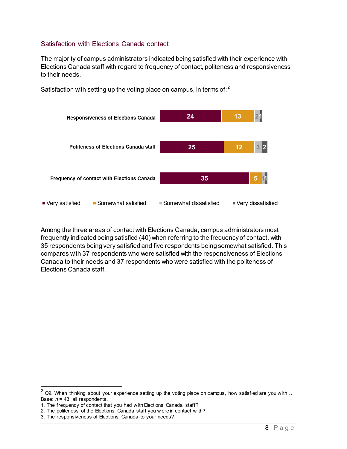#### Satisfaction with Elections Canada contact

The majority of campus administrators indicated being satisfied with their experience with Elections Canada staff with regard to frequency of contact, politeness and responsiveness to their needs.



Satisfaction with setting up the voting place on campus, in terms of:<sup>[2](#page-7-0)</sup>

Among the three areas of contact with Elections Canada, campus administrators most frequently indicated being satisfied (40) when referring to the frequency of contact, with 35 respondents being very satisfied and five respondents being somewhat satisfied. This compares with 37 respondents who were satisfied with the responsiveness of Elections Canada to their needs and 37 respondents who were satisfied with the politeness of Elections Canada staff.

<span id="page-7-0"></span> $2$  Q9. When thinking about your experience setting up the voting place on campus, how satisfied are you with... Base: *n* = 43: all respondents.

<sup>1.</sup> The frequency of contact that you had w ith Elections Canada staff?

<sup>2.</sup> The politeness of the Elections Canada staff you w ere in contact w ith?

<sup>3.</sup> The responsiveness of Elections Canada to your needs?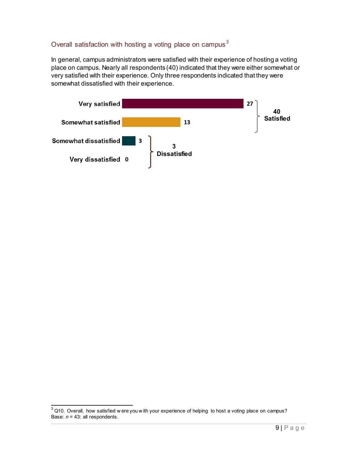#### Overall satisfaction with hosting a voting place on campus<sup>[3](#page-8-0)</sup>

In general, campus administrators were satisfied with their experience of hosting a voting place on campus. Nearly all respondents (40) indicated that they were either somewhat or very satisfied with their experience. Only three respondents indicated that they were somewhat dissatisfied with their experience.



<span id="page-8-0"></span> $\frac{3}{3}$  Q10. Overall, how satisfied w ere you w ith your experience of helping to host a voting place on campus? Base: *n* = 43: all respondents.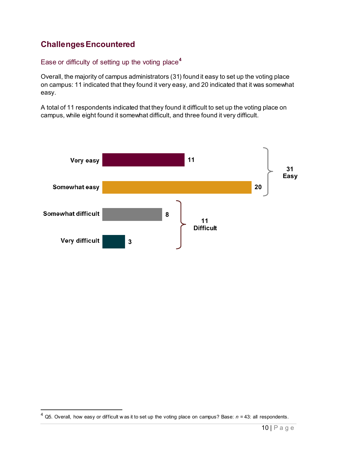### **Challenges Encountered**

#### Ease or difficulty of setting up the voting place**[4](#page-9-0)**

Overall, the majority of campus administrators (31) found it easy to set up the voting place on campus: 11 indicated that they found it very easy, and 20 indicated that it was somewhat easy.

A total of 11 respondents indicated that they found it difficult to set up the voting place on campus, while eight found it somewhat difficult, and three found it very difficult.



<span id="page-9-0"></span> <sup>4</sup> Q5. Overall, how easy or difficult w as it to set up the voting place on campus? Base: *<sup>n</sup>* = 43: all respondents.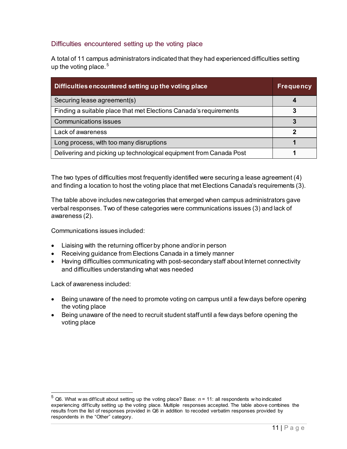#### Difficulties encountered setting up the voting place

A total of 11 campus administrators indicated that they had experienced difficulties setting up the voting place.  $^5$  $^5$ 

| Difficulties encountered setting up the voting place               | <b>Frequency</b> |
|--------------------------------------------------------------------|------------------|
| Securing lease agreement(s)                                        | 4                |
| Finding a suitable place that met Elections Canada's requirements  | 3                |
| <b>Communications issues</b>                                       |                  |
| Lack of awareness                                                  |                  |
| Long process, with too many disruptions                            |                  |
| Delivering and picking up technological equipment from Canada Post |                  |

The two types of difficulties most frequently identified were securing a lease agreement (4) and finding a location to host the voting place that met Elections Canada's requirements (3).

The table above includes new categories that emerged when campus administrators gave verbal responses. Two of these categories were communications issues (3) and lack of awareness (2).

Communications issues included:

- Liaising with the returning officer by phone and/or in person
- Receiving guidance from Elections Canada in a timely manner
- Having difficulties communicating with post-secondary staff about Internet connectivity and difficulties understanding what was needed

Lack of awareness included:

- Being unaware of the need to promote voting on campus until a few days before opening the voting place
- Being unaware of the need to recruit student staff until a few days before opening the voting place

<span id="page-10-0"></span> <sup>5</sup> Q6. What w as difficult about setting up the voting place? Base: *<sup>n</sup>* = 11: all respondents w ho indicated experiencing difficulty setting up the voting place. Multiple responses accepted. The table above combines the results from the list of responses provided in Q6 in addition to recoded verbatim responses provided by respondents in the "Other" category.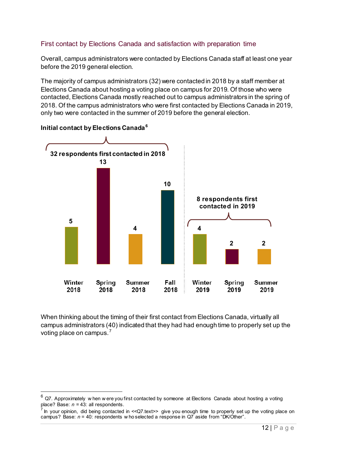#### First contact by Elections Canada and satisfaction with preparation time

Overall, campus administrators were contacted by Elections Canada staff at least one year before the 2019 general election.

The majority of campus administrators (32) were contacted in 2018 by a staff member at Elections Canada about hosting a voting place on campus for 2019. Of those who were contacted, Elections Canada mostly reached out to campus administrators in the spring of 2018. Of the campus administrators who were first contacted by Elections Canada in 2019, only two were contacted in the summer of 2019 before the general election.



#### **Initial contact by Elections Canada[6](#page-11-0)**

When thinking about the timing of their first contact from Elections Canada, virtually all campus administrators (40) indicated that they had had enough time to properly set up the voting place on campus.<sup>[7](#page-11-1)</sup>

<span id="page-11-0"></span>Q7. Approximately w hen w ere you first contacted by someone at Elections Canada about hosting a voting place? Base: *n* = 43: all respondents.

<span id="page-11-1"></span>In your opinion, did being contacted in <<Q7.text> give you enough time to properly set up the voting place on campus? Base: *n* = 40: respondents w ho selected a response in Q7 aside from "DK/Other".